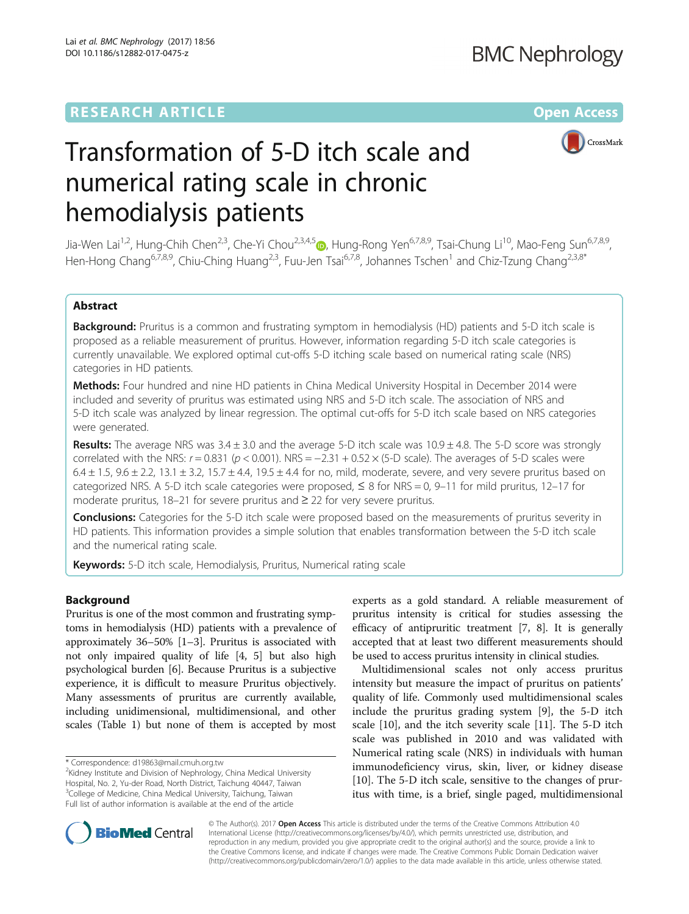## **RESEARCH ARTICLE Example 2018 12:00 Department of the CONNECTION CONNECTION CONNECTION CONNECTION CONNECTION**



# Transformation of 5-D itch scale and numerical rating scale in chronic hemodialysis patients

Jia-Wen Lai<sup>1,2</sup>, Hung-Chih Chen<sup>2,3</sup>, Che-Yi Chou<sup>2,3,4,[5](http://orcid.org/0000-0003-4029-9097)</sup> , Hung-Rong Yen<sup>6,7,8,9</sup>, Tsai-Chung Li<sup>10</sup>, Mao-Feng Sun<sup>6,7,8,9</sup>, Hen-Hong Chang<sup>6,7,8,9</sup>, Chiu-Ching Huang<sup>2,3</sup>, Fuu-Jen Tsai<sup>6,7,8</sup>, Johannes Tschen<sup>1</sup> and Chiz-Tzung Chang<sup>2,3,8\*</sup>

## Abstract

Background: Pruritus is a common and frustrating symptom in hemodialysis (HD) patients and 5-D itch scale is proposed as a reliable measurement of pruritus. However, information regarding 5-D itch scale categories is currently unavailable. We explored optimal cut-offs 5-D itching scale based on numerical rating scale (NRS) categories in HD patients.

Methods: Four hundred and nine HD patients in China Medical University Hospital in December 2014 were included and severity of pruritus was estimated using NRS and 5-D itch scale. The association of NRS and 5-D itch scale was analyzed by linear regression. The optimal cut-offs for 5-D itch scale based on NRS categories were generated.

**Results:** The average NRS was  $3.4 \pm 3.0$  and the average 5-D itch scale was  $10.9 \pm 4.8$ . The 5-D score was strongly correlated with the NRS:  $r = 0.831$  ( $p < 0.001$ ). NRS =  $-2.31 + 0.52 \times (5-D)$  scale). The averages of 5-D scales were  $6.4 \pm 1.5$ ,  $9.6 \pm 2.2$ ,  $13.1 \pm 3.2$ ,  $15.7 \pm 4.4$ ,  $19.5 \pm 4.4$  for no, mild, moderate, severe, and very severe pruritus based on categorized NRS. A 5-D itch scale categories were proposed,  $\leq 8$  for NRS = 0, 9–11 for mild pruritus, 12–17 for moderate pruritus, 18–21 for severe pruritus and ≥ 22 for very severe pruritus.

**Conclusions:** Categories for the 5-D itch scale were proposed based on the measurements of pruritus severity in HD patients. This information provides a simple solution that enables transformation between the 5-D itch scale and the numerical rating scale.

Keywords: 5-D itch scale, Hemodialysis, Pruritus, Numerical rating scale

## Background

Pruritus is one of the most common and frustrating symptoms in hemodialysis (HD) patients with a prevalence of approximately 36–50% [[1](#page-4-0)–[3](#page-4-0)]. Pruritus is associated with not only impaired quality of life [[4](#page-4-0), [5](#page-4-0)] but also high psychological burden [[6\]](#page-4-0). Because Pruritus is a subjective experience, it is difficult to measure Pruritus objectively. Many assessments of pruritus are currently available, including unidimensional, multidimensional, and other scales (Table [1](#page-1-0)) but none of them is accepted by most

experts as a gold standard. A reliable measurement of pruritus intensity is critical for studies assessing the efficacy of antipruritic treatment [\[7](#page-4-0), [8\]](#page-4-0). It is generally accepted that at least two different measurements should be used to access pruritus intensity in clinical studies.

Multidimensional scales not only access pruritus intensity but measure the impact of pruritus on patients' quality of life. Commonly used multidimensional scales include the pruritus grading system [\[9](#page-4-0)], the 5-D itch scale [\[10\]](#page-4-0), and the itch severity scale [\[11](#page-4-0)]. The 5-D itch scale was published in 2010 and was validated with Numerical rating scale (NRS) in individuals with human immunodeficiency virus, skin, liver, or kidney disease [[10\]](#page-4-0). The 5-D itch scale, sensitive to the changes of pruritus with time, is a brief, single paged, multidimensional



© The Author(s). 2017 **Open Access** This article is distributed under the terms of the Creative Commons Attribution 4.0 International License [\(http://creativecommons.org/licenses/by/4.0/](http://creativecommons.org/licenses/by/4.0/)), which permits unrestricted use, distribution, and reproduction in any medium, provided you give appropriate credit to the original author(s) and the source, provide a link to the Creative Commons license, and indicate if changes were made. The Creative Commons Public Domain Dedication waiver [\(http://creativecommons.org/publicdomain/zero/1.0/](http://creativecommons.org/publicdomain/zero/1.0/)) applies to the data made available in this article, unless otherwise stated.

<sup>\*</sup> Correspondence: [d19863@mail.cmuh.org.tw](mailto:d19863@mail.cmuh.org.tw) <sup>2</sup>

 $2$ Kidney Institute and Division of Nephrology, China Medical University Hospital, No. 2, Yu-der Road, North District, Taichung 40447, Taiwan <sup>3</sup>College of Medicine, China Medical University, Taichung, Taiwan Full list of author information is available at the end of the article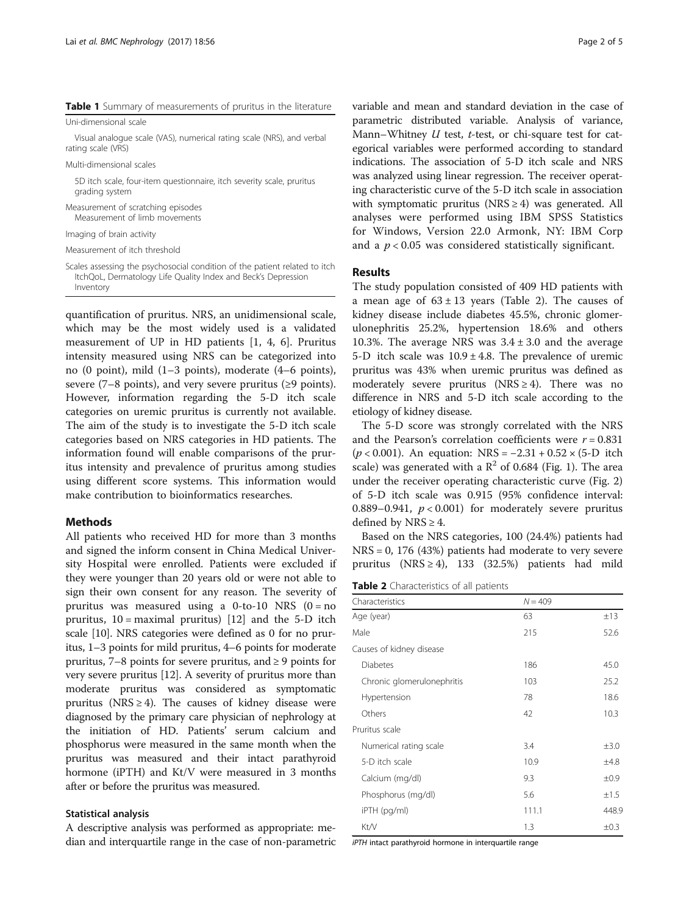<span id="page-1-0"></span>Table 1 Summary of measurements of pruritus in the literature

Uni-dimensional scale

Visual analogue scale (VAS), numerical rating scale (NRS), and verbal rating scale (VRS)

Multi-dimensional scales

5D itch scale, four-item questionnaire, itch severity scale, pruritus grading system

Measurement of scratching episodes Measurement of limb movements

Imaging of brain activity

Measurement of itch threshold

Scales assessing the psychosocial condition of the patient related to itch ItchQoL, Dermatology Life Quality Index and Beck's Depression Inventory

quantification of pruritus. NRS, an unidimensional scale, which may be the most widely used is a validated measurement of UP in HD patients [\[1, 4, 6\]](#page-4-0). Pruritus intensity measured using NRS can be categorized into no (0 point), mild (1–3 points), moderate (4–6 points), severe (7–8 points), and very severe pruritus ( $\geq$ 9 points). However, information regarding the 5-D itch scale categories on uremic pruritus is currently not available. The aim of the study is to investigate the 5-D itch scale categories based on NRS categories in HD patients. The information found will enable comparisons of the pruritus intensity and prevalence of pruritus among studies using different score systems. This information would make contribution to bioinformatics researches.

## **Methods**

All patients who received HD for more than 3 months and signed the inform consent in China Medical University Hospital were enrolled. Patients were excluded if they were younger than 20 years old or were not able to sign their own consent for any reason. The severity of pruritus was measured using a 0-to-10 NRS  $(0 = no$ pruritus,  $10 =$  maximal pruritus) [[12](#page-4-0)] and the 5-D itch scale [\[10\]](#page-4-0). NRS categories were defined as 0 for no pruritus, 1–3 points for mild pruritus, 4–6 points for moderate pruritus, 7–8 points for severe pruritus, and ≥ 9 points for very severe pruritus [\[12\]](#page-4-0). A severity of pruritus more than moderate pruritus was considered as symptomatic pruritus (NRS  $\geq$  4). The causes of kidney disease were diagnosed by the primary care physician of nephrology at the initiation of HD. Patients' serum calcium and phosphorus were measured in the same month when the pruritus was measured and their intact parathyroid hormone (iPTH) and Kt/V were measured in 3 months after or before the pruritus was measured.

## Statistical analysis

A descriptive analysis was performed as appropriate: median and interquartile range in the case of non-parametric variable and mean and standard deviation in the case of parametric distributed variable. Analysis of variance, Mann–Whitney  $U$  test,  $t$ -test, or chi-square test for categorical variables were performed according to standard indications. The association of 5-D itch scale and NRS was analyzed using linear regression. The receiver operating characteristic curve of the 5-D itch scale in association with symptomatic pruritus ( $NRS \geq 4$ ) was generated. All analyses were performed using IBM SPSS Statistics for Windows, Version 22.0 Armonk, NY: IBM Corp and a  $p < 0.05$  was considered statistically significant.

## Results

The study population consisted of 409 HD patients with a mean age of  $63 \pm 13$  years (Table 2). The causes of kidney disease include diabetes 45.5%, chronic glomerulonephritis 25.2%, hypertension 18.6% and others 10.3%. The average NRS was  $3.4 \pm 3.0$  and the average 5-D itch scale was  $10.9 \pm 4.8$ . The prevalence of uremic pruritus was 43% when uremic pruritus was defined as moderately severe pruritus (NRS  $\geq$  4). There was no difference in NRS and 5-D itch scale according to the etiology of kidney disease.

The 5-D score was strongly correlated with the NRS and the Pearson's correlation coefficients were  $r = 0.831$ ( $p < 0.001$ ). An equation: NRS = -2.31 + 0.52 × (5-D itch scale) was generated with a  $\mathbb{R}^2$  of 0.684 (Fig. [1](#page-2-0)). The area under the receiver operating characteristic curve (Fig. [2](#page-2-0)) of 5-D itch scale was 0.915 (95% confidence interval: 0.889–0.941,  $p < 0.001$ ) for moderately severe pruritus defined by NRS  $\geq$  4.

Based on the NRS categories, 100 (24.4%) patients had NRS = 0, 176 (43%) patients had moderate to very severe pruritus (NRS  $\geq$  4), 133 (32.5%) patients had mild

Table 2 Characteristics of all patients

| Characteristics            | $N = 409$ |           |
|----------------------------|-----------|-----------|
| Age (year)                 | 63        | ±13       |
| Male                       | 215       | 52.6      |
| Causes of kidney disease   |           |           |
| <b>Diabetes</b>            | 186       | 45.0      |
| Chronic glomerulonephritis | 103       | 25.2      |
| Hypertension               | 78        | 18.6      |
| Others                     | 42        | 10.3      |
| Pruritus scale             |           |           |
| Numerical rating scale     | 3.4       | $\pm 3.0$ |
| 5-D itch scale             | 10.9      | ±4.8      |
| Calcium (mg/dl)            | 9.3       | ±0.9      |
| Phosphorus (mg/dl)         | 5.6       | ±1.5      |
| iPTH (pg/ml)               | 111.1     | 448.9     |
| Kt/V                       | 1.3       | $\pm 0.3$ |

iPTH intact parathyroid hormone in interquartile range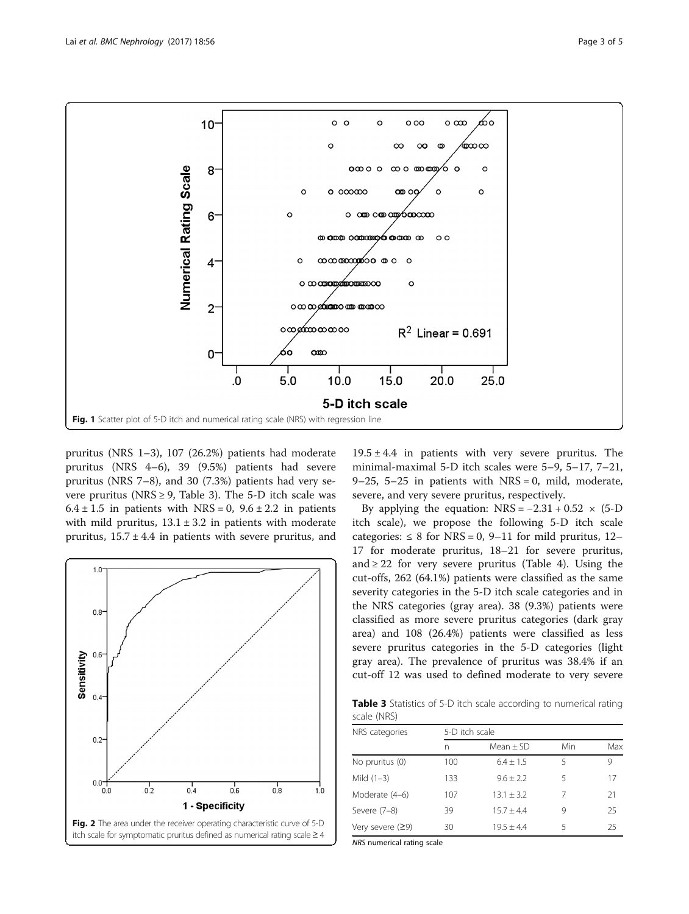<span id="page-2-0"></span>

pruritus (NRS 1–3), 107 (26.2%) patients had moderate pruritus (NRS 4–6), 39 (9.5%) patients had severe pruritus (NRS 7–8), and 30 (7.3%) patients had very severe pruritus (NRS  $\geq$  9, Table 3). The 5-D itch scale was  $6.4 \pm 1.5$  in patients with NRS = 0,  $9.6 \pm 2.2$  in patients with mild pruritus,  $13.1 \pm 3.2$  in patients with moderate pruritus,  $15.7 \pm 4.4$  in patients with severe pruritus, and



 $19.5 \pm 4.4$  in patients with very severe pruritus. The minimal-maximal 5-D itch scales were 5–9, 5–17, 7–21, 9–25, 5–25 in patients with  $NRS = 0$ , mild, moderate, severe, and very severe pruritus, respectively.

By applying the equation:  $NRS = -2.31 + 0.52 \times (5-D)$ itch scale), we propose the following 5-D itch scale categories:  $\leq 8$  for NRS = 0, 9–11 for mild pruritus, 12– 17 for moderate pruritus, 18–21 for severe pruritus, and  $\geq$  22 for very severe pruritus (Table [4\)](#page-3-0). Using the cut-offs, 262 (64.1%) patients were classified as the same severity categories in the 5-D itch scale categories and in the NRS categories (gray area). 38 (9.3%) patients were classified as more severe pruritus categories (dark gray area) and 108 (26.4%) patients were classified as less severe pruritus categories in the 5-D categories (light gray area). The prevalence of pruritus was 38.4% if an cut-off 12 was used to defined moderate to very severe

Table 3 Statistics of 5-D itch scale according to numerical rating scale (NRS)

| NRS categories     | 5-D itch scale |               |     |     |  |
|--------------------|----------------|---------------|-----|-----|--|
|                    | n              | Mean $\pm$ SD | Min | Max |  |
| No pruritus (0)    | 100            | $6.4 + 1.5$   | 5   | 9   |  |
| Mild $(1-3)$       | 133            | $9.6 + 2.2$   | 5   | 17  |  |
| Moderate (4-6)     | 107            | $13.1 + 3.2$  | 7   | 21  |  |
| Severe (7-8)       | 39             | $15.7 + 4.4$  | 9   | 25  |  |
| Very severe $(29)$ | 30             | $19.5 + 4.4$  | 5   | 25  |  |

NRS numerical rating scale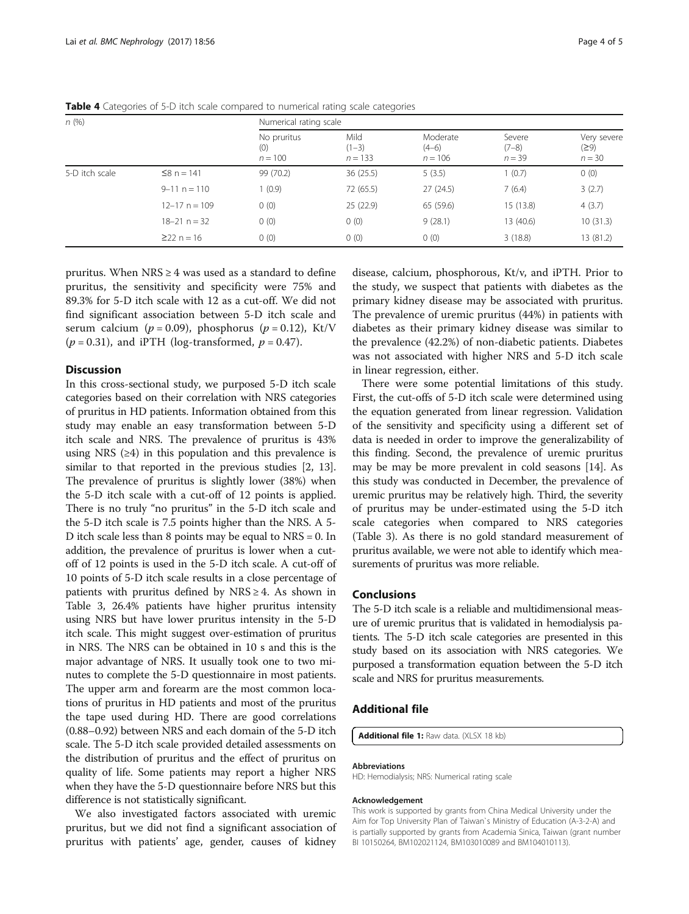| n(%)           |                   |                                 | Numerical rating scale       |                                  |                               |                                 |  |
|----------------|-------------------|---------------------------------|------------------------------|----------------------------------|-------------------------------|---------------------------------|--|
|                |                   | No pruritus<br>(0)<br>$n = 100$ | Mild<br>$(1-3)$<br>$n = 133$ | Moderate<br>$(4-6)$<br>$n = 106$ | Severe<br>$(7-8)$<br>$n = 39$ | Very severe<br>(29)<br>$n = 30$ |  |
| 5-D itch scale | $≤8 n = 141$      | 99 (70.2)                       | 36(25.5)                     | 5(3.5)                           | 1(0.7)                        | 0(0)                            |  |
|                | $9 - 11$ n = 110  | 1(0.9)                          | 72 (65.5)                    | 27(24.5)                         | 7(6.4)                        | 3(2.7)                          |  |
|                | $12 - 17$ n = 109 | 0(0)                            | 25(22.9)                     | 65 (59.6)                        | 15 (13.8)                     | 4(3.7)                          |  |
|                | $18 - 21$ n = 32  | 0(0)                            | 0(0)                         | 9(28.1)                          | 13 (40.6)                     | 10(31.3)                        |  |
|                | $\geq$ 22 n = 16  | 0(0)                            | 0(0)                         | 0(0)                             | 3(18.8)                       | 13 (81.2)                       |  |

<span id="page-3-0"></span>Table 4 Categories of 5-D itch scale compared to numerical rating scale categories

pruritus. When  $NRS \geq 4$  was used as a standard to define pruritus, the sensitivity and specificity were 75% and 89.3% for 5-D itch scale with 12 as a cut-off. We did not find significant association between 5-D itch scale and serum calcium ( $p = 0.09$ ), phosphorus ( $p = 0.12$ ), Kt/V  $(p = 0.31)$ , and iPTH (log-transformed,  $p = 0.47$ ).

## Discussion

In this cross-sectional study, we purposed 5-D itch scale categories based on their correlation with NRS categories of pruritus in HD patients. Information obtained from this study may enable an easy transformation between 5-D itch scale and NRS. The prevalence of pruritus is 43% using NRS  $(≥4)$  in this population and this prevalence is similar to that reported in the previous studies [\[2](#page-4-0), [13](#page-4-0)]. The prevalence of pruritus is slightly lower (38%) when the 5-D itch scale with a cut-off of 12 points is applied. There is no truly "no pruritus" in the 5-D itch scale and the 5-D itch scale is 7.5 points higher than the NRS. A 5- D itch scale less than 8 points may be equal to NRS = 0. In addition, the prevalence of pruritus is lower when a cutoff of 12 points is used in the 5-D itch scale. A cut-off of 10 points of 5-D itch scale results in a close percentage of patients with pruritus defined by  $NRS \geq 4$ . As shown in Table [3](#page-2-0), 26.4% patients have higher pruritus intensity using NRS but have lower pruritus intensity in the 5-D itch scale. This might suggest over-estimation of pruritus in NRS. The NRS can be obtained in 10 s and this is the major advantage of NRS. It usually took one to two minutes to complete the 5-D questionnaire in most patients. The upper arm and forearm are the most common locations of pruritus in HD patients and most of the pruritus the tape used during HD. There are good correlations (0.88–0.92) between NRS and each domain of the 5-D itch scale. The 5-D itch scale provided detailed assessments on the distribution of pruritus and the effect of pruritus on quality of life. Some patients may report a higher NRS when they have the 5-D questionnaire before NRS but this difference is not statistically significant.

We also investigated factors associated with uremic pruritus, but we did not find a significant association of pruritus with patients' age, gender, causes of kidney

disease, calcium, phosphorous, Kt/v, and iPTH. Prior to the study, we suspect that patients with diabetes as the primary kidney disease may be associated with pruritus. The prevalence of uremic pruritus (44%) in patients with diabetes as their primary kidney disease was similar to the prevalence (42.2%) of non-diabetic patients. Diabetes was not associated with higher NRS and 5-D itch scale in linear regression, either.

There were some potential limitations of this study. First, the cut-offs of 5-D itch scale were determined using the equation generated from linear regression. Validation of the sensitivity and specificity using a different set of data is needed in order to improve the generalizability of this finding. Second, the prevalence of uremic pruritus may be may be more prevalent in cold seasons [\[14\]](#page-4-0). As this study was conducted in December, the prevalence of uremic pruritus may be relatively high. Third, the severity of pruritus may be under-estimated using the 5-D itch scale categories when compared to NRS categories (Table [3\)](#page-2-0). As there is no gold standard measurement of pruritus available, we were not able to identify which measurements of pruritus was more reliable.

## Conclusions

The 5-D itch scale is a reliable and multidimensional measure of uremic pruritus that is validated in hemodialysis patients. The 5-D itch scale categories are presented in this study based on its association with NRS categories. We purposed a transformation equation between the 5-D itch scale and NRS for pruritus measurements.

#### Additional file

[Additional file 1:](dx.doi.org/10.1186/s12882-017-0475-z) Raw data. (XLSX 18 kb)

#### Abbreviations

HD: Hemodialysis; NRS: Numerical rating scale

#### Acknowledgement

This work is supported by grants from China Medical University under the Aim for Top University Plan of Taiwan`s Ministry of Education (A-3-2-A) and is partially supported by grants from Academia Sinica, Taiwan (grant number BI 10150264, BM102021124, BM103010089 and BM104010113).